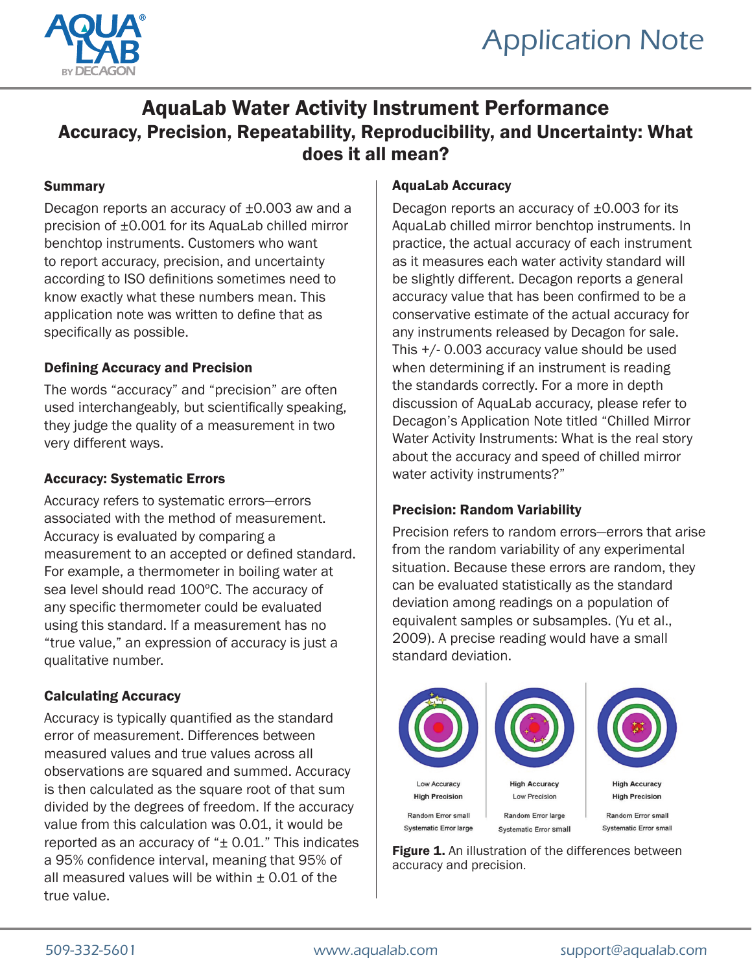



# AquaLab Water Activity Instrument Performance Accuracy, Precision, Repeatability, Reproducibility, and Uncertainty: What does it all mean?

#### Summary

Decagon reports an accuracy of ±0.003 aw and a precision of ±0.001 for its AquaLab chilled mirror benchtop instruments. Customers who want to report accuracy, precision, and uncertainty according to ISO definitions sometimes need to know exactly what these numbers mean. This application note was written to define that as specifically as possible.

#### Defining Accuracy and Precision

The words "accuracy" and "precision" are often used interchangeably, but scientifically speaking, they judge the quality of a measurement in two very different ways.

#### Accuracy: Systematic Errors

Accuracy refers to systematic errors—errors associated with the method of measurement. Accuracy is evaluated by comparing a measurement to an accepted or defined standard. For example, a thermometer in boiling water at sea level should read 100ºC. The accuracy of any specific thermometer could be evaluated using this standard. If a measurement has no "true value," an expression of accuracy is just a qualitative number.

# Calculating Accuracy

Accuracy is typically quantified as the standard error of measurement. Differences between measured values and true values across all observations are squared and summed. Accuracy is then calculated as the square root of that sum divided by the degrees of freedom. If the accuracy value from this calculation was 0.01, it would be reported as an accuracy of "± 0.01." This indicates a 95% confidence interval, meaning that 95% of all measured values will be within  $\pm$  0.01 of the true value.

#### AquaLab Accuracy

Decagon reports an accuracy of ±0.003 for its AquaLab chilled mirror benchtop instruments. In practice, the actual accuracy of each instrument as it measures each water activity standard will be slightly different. Decagon reports a general accuracy value that has been confirmed to be a conservative estimate of the actual accuracy for any instruments released by Decagon for sale. This +/- 0.003 accuracy value should be used when determining if an instrument is reading the standards correctly. For a more in depth discussion of AquaLab accuracy, please refer to Decagon's Application Note titled "Chilled Mirror Water Activity Instruments: What is the real story about the accuracy and speed of chilled mirror water activity instruments?"

#### Precision: Random Variability

Precision refers to random errors—errors that arise from the random variability of any experimental situation. Because these errors are random, they can be evaluated statistically as the standard deviation among readings on a population of equivalent samples or subsamples. (Yu et al., 2009). A precise reading would have a small standard deviation.



Figure 1. An illustration of the differences between accuracy and precision.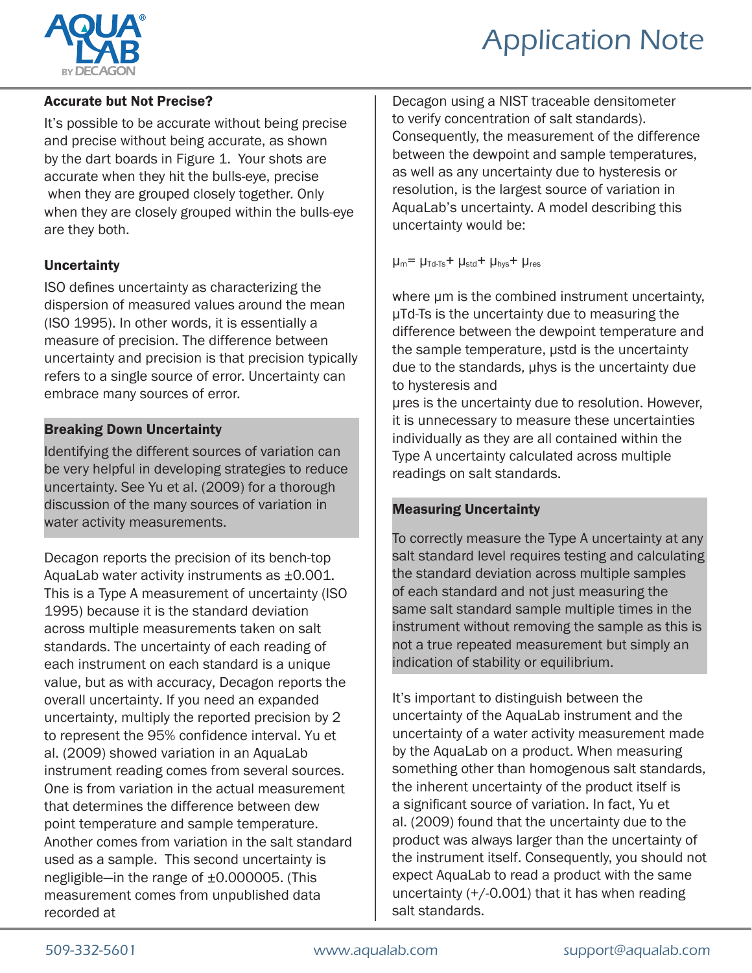

# Application Note

# Accurate but Not Precise?

It's possible to be accurate without being precise and precise without being accurate, as shown by the dart boards in Figure 1. Your shots are accurate when they hit the bulls-eye, precise when they are grouped closely together. Only when they are closely grouped within the bulls-eye are they both.

#### **Uncertainty**

ISO defines uncertainty as characterizing the dispersion of measured values around the mean (ISO 1995). In other words, it is essentially a measure of precision. The difference between uncertainty and precision is that precision typically refers to a single source of error. Uncertainty can embrace many sources of error.

# Breaking Down Uncertainty

Identifying the different sources of variation can be very helpful in developing strategies to reduce uncertainty. See Yu et al. (2009) for a thorough discussion of the many sources of variation in water activity measurements.

Decagon reports the precision of its bench-top AquaLab water activity instruments as ±0.001. This is a Type A measurement of uncertainty (ISO 1995) because it is the standard deviation across multiple measurements taken on salt standards. The uncertainty of each reading of each instrument on each standard is a unique value, but as with accuracy, Decagon reports the overall uncertainty. If you need an expanded uncertainty, multiply the reported precision by 2 to represent the 95% confidence interval. Yu et al. (2009) showed variation in an AquaLab instrument reading comes from several sources. One is from variation in the actual measurement that determines the difference between dew point temperature and sample temperature. Another comes from variation in the salt standard used as a sample. This second uncertainty is negligible—in the range of ±0.000005. (This measurement comes from unpublished data recorded at

Decagon using a NIST traceable densitometer to verify concentration of salt standards). Consequently, the measurement of the difference between the dewpoint and sample temperatures, as well as any uncertainty due to hysteresis or resolution, is the largest source of variation in AquaLab's uncertainty. A model describing this uncertainty would be:

 $\mu_m$ =  $\mu_{Td-Ts}$ +  $\mu_{std}$ +  $\mu_{hvs}$ +  $\mu_{res}$ 

where  $\mu$ m is the combined instrument uncertainty, µTd-Ts is the uncertainty due to measuring the difference between the dewpoint temperature and the sample temperature, µstd is the uncertainty due to the standards, µhys is the uncertainty due to hysteresis and

µres is the uncertainty due to resolution. However, it is unnecessary to measure these uncertainties individually as they are all contained within the Type A uncertainty calculated across multiple readings on salt standards.

# Measuring Uncertainty

To correctly measure the Type A uncertainty at any salt standard level requires testing and calculating the standard deviation across multiple samples of each standard and not just measuring the same salt standard sample multiple times in the instrument without removing the sample as this is not a true repeated measurement but simply an indication of stability or equilibrium.

It's important to distinguish between the uncertainty of the AquaLab instrument and the uncertainty of a water activity measurement made by the AquaLab on a product. When measuring something other than homogenous salt standards, the inherent uncertainty of the product itself is a significant source of variation. In fact, Yu et al. (2009) found that the uncertainty due to the product was always larger than the uncertainty of the instrument itself. Consequently, you should not expect AquaLab to read a product with the same uncertainty  $(+/-0.001)$  that it has when reading salt standards.